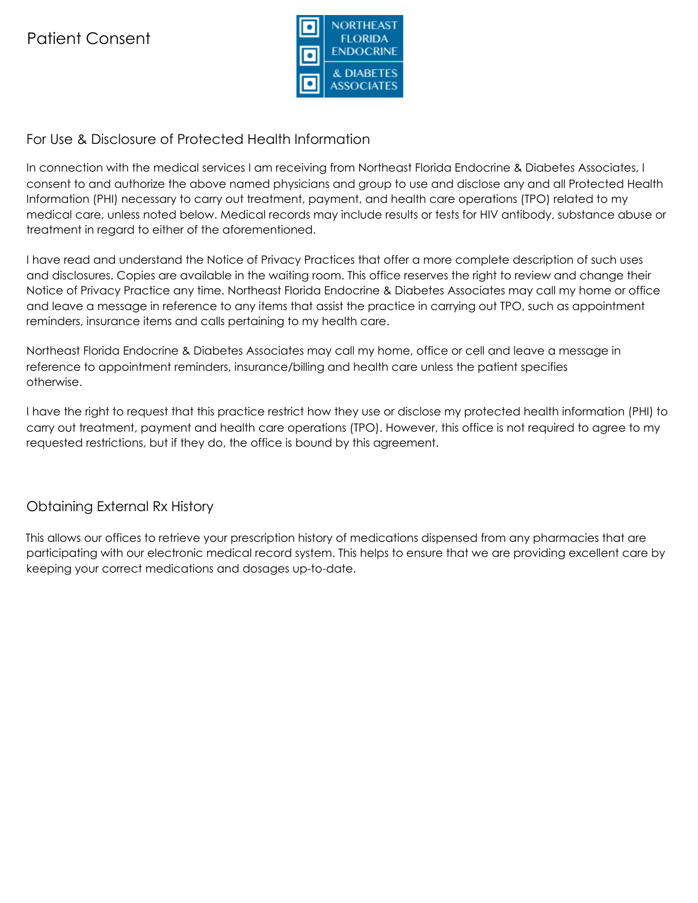

# For Use & Disclosure of Protected Health Information

In connection with the medical services I am receiving from Northeast Florida Endocrine & Diabetes Associates, I consent to and authorize the above named physicians and group to use and disclose any and all Protected Health Information (PHI) necessary to carry out treatment, payment, and health care operations (TPO) related to my medical care, unless noted below. Medical records may include results or tests for HIV antibody, substance abuse or treatment in regard to either of the aforementioned.

I have read and understand the Notice of Privacy Practices that offer a more complete description of such uses and disclosures. Copies are available in the waiting room. This office reserves the right to review and change their Notice of Privacy Practice any time. Northeast Florida Endocrine & Diabetes Associates may call my home or office and leave a message in reference to any items that assist the practice in carrying out TPO, such as appointment reminders, insurance items and calls pertaining to my health care.

Northeast Florida Endocrine & Diabetes Associates may call my home, office or cell and leave a message in reference to appointment reminders, insurance/billing and health care unless the patient specifies otherwise.

I have the right to request that this practice restrict how they use or disclose my protected health information (PHI) to carry out treatment, payment and health care operations (TPO). However, this office is not required to agree to my requested restrictions, but if they do, the office is bound by this agreement.

# Obtaining External Rx History

This allows our offices to retrieve your prescription history of medications dispensed from any pharmacies that are participating with our electronic medical record system. This helps to ensure that we are providing excellent care by keeping your correct medications and dosages up-to-date.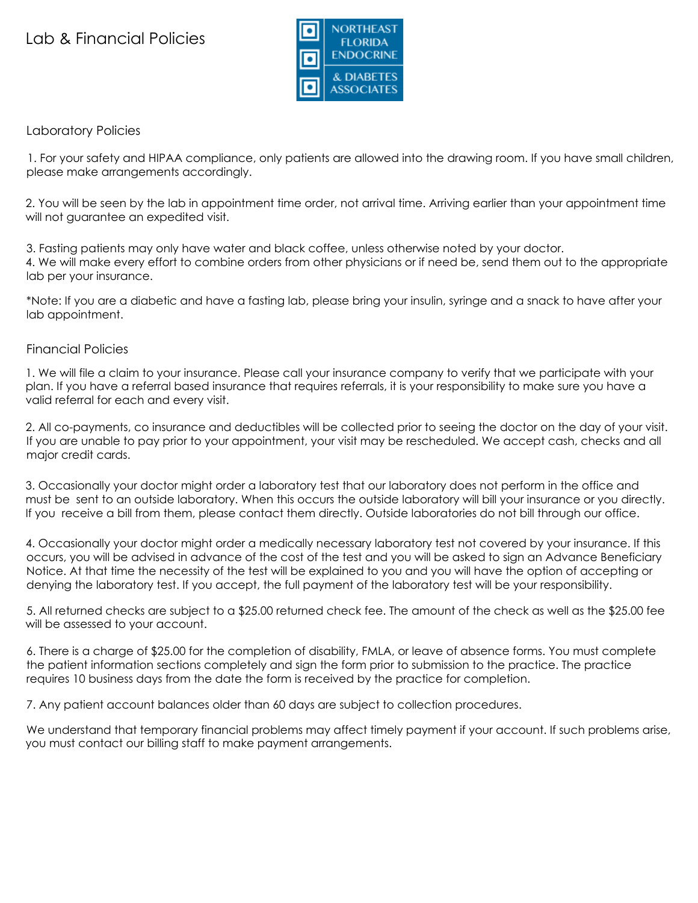# Lab & Financial Policies



## Laboratory Policies

1. For your safety and HIPAA compliance, only patients are allowed into the drawing room. If you have small children, please make arrangements accordingly.

2. You will be seen by the lab in appointment time order, not arrival time. Arriving earlier than your appointment time will not guarantee an expedited visit.

3. Fasting patients may only have water and black coffee, unless otherwise noted by your doctor. 4. We will make every effort to combine orders from other physicians or if need be, send them out to the appropriate lab per your insurance.

\*Note: If you are a diabetic and have a fasting lab, please bring your insulin, syringe and a snack to have after your lab appointment.

## Financial Policies

1. We will file a claim to your insurance. Please call your insurance company to verify that we participate with your plan. If you have a referral based insurance that requires referrals, it is your responsibility to make sure you have a valid referral for each and every visit.

2. All co-payments, co insurance and deductibles will be collected prior to seeing the doctor on the day of your visit. If you are unable to pay prior to your appointment, your visit may be rescheduled. We accept cash, checks and all major credit cards.

3. Occasionally your doctor might order a laboratory test that our laboratory does not perform in the office and must be sent to an outside laboratory. When this occurs the outside laboratory will bill your insurance or you directly. If you receive a bill from them, please contact them directly. Outside laboratories do not bill through our office.

4. Occasionally your doctor might order a medically necessary laboratory test not covered by your insurance. If this occurs, you will be advised in advance of the cost of the test and you will be asked to sign an Advance Beneficiary Notice. At that time the necessity of the test will be explained to you and you will have the option of accepting or denying the laboratory test. If you accept, the full payment of the laboratory test will be your responsibility.

5. All returned checks are subject to a \$25.00 returned check fee. The amount of the check as well as the \$25.00 fee will be assessed to your account.

6. There is a charge of \$25.00 for the completion of disability, FMLA, or leave of absence forms. You must complete the patient information sections completely and sign the form prior to submission to the practice. The practice requires 10 business days from the date the form is received by the practice for completion.

7. Any patient account balances older than 60 days are subject to collection procedures.

We understand that temporary financial problems may affect timely payment if your account. If such problems arise, you must contact our billing staff to make payment arrangements.